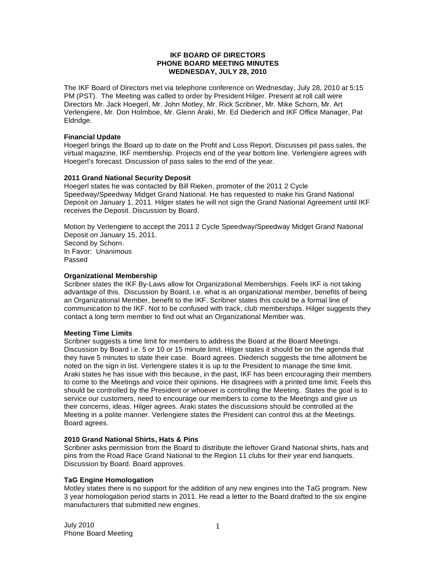### **IKF BOARD OF DIRECTORS PHONE BOARD MEETING MINUTES WEDNESDAY, JULY 28, 2010**

The IKF Board of Directors met via telephone conference on Wednesday, July 28, 2010 at 5:15 PM (PST). The Meeting was called to order by President Hilger. Present at roll call were Directors Mr. Jack Hoegerl, Mr. John Motley, Mr. Rick Scribner, Mr. Mike Schorn, Mr. Art Verlengiere, Mr. Don Holmboe, Mr. Glenn Araki, Mr. Ed Diederich and IKF Office Manager, Pat Eldridge.

### **Financial Update**

Hoegerl brings the Board up to date on the Profit and Loss Report. Discusses pit pass sales, the virtual magazine, IKF membership. Projects end of the year bottom line. Verlengiere agrees with Hoegerl's forecast. Discussion of pass sales to the end of the year.

# **2011 Grand National Security Deposit**

Hoegerl states he was contacted by Bill Rieken, promoter of the 2011 2 Cycle Speedway/Speedway Midget Grand National. He has requested to make his Grand National Deposit on January 1, 2011. Hilger states he will not sign the Grand National Agreement until IKF receives the Deposit. Discussion by Board.

Motion by Verlengiere to accept the 2011 2 Cycle Speedway/Speedway Midget Grand National Deposit on January 15, 2011. Second by Schorn. In Favor: Unanimous Passed

# **Organizational Membership**

Scribner states the IKF By-Laws allow for Organizational Memberships. Feels IKF is not taking advantage of this. Discussion by Board, i.e. what is an organizational member, benefits of being an Organizational Member, benefit to the IKF. Scribner states this could be a formal line of communication to the IKF. Not to be confused with track, club memberships. Hilger suggests they contact a long term member to find out what an Organizational Member was.

# **Meeting Time Limits**

Scribner suggests a time limit for members to address the Board at the Board Meetings. Discussion by Board i.e. 5 or 10 or 15 minute limit. Hilger states it should be on the agenda that they have 5 minutes to state their case. Board agrees. Diederich suggests the time allotment be noted on the sign in list. Verlengiere states it is up to the President to manage the time limit. Araki states he has issue with this because, in the past, IKF has been encouraging their members to come to the Meetings and voice their opinions. He disagrees with a printed time limit. Feels this should be controlled by the President or whoever is controlling the Meeting. States the goal is to service our customers, need to encourage our members to come to the Meetings and give us their concerns, ideas. Hilger agrees. Araki states the discussions should be controlled at the Meeting in a polite manner. Verlengiere states the President can control this at the Meetings. Board agrees.

### **2010 Grand National Shirts, Hats & Pins**

Scribner asks permission from the Board to distribute the leftover Grand National shirts, hats and pins from the Road Race Grand National to the Region 11 clubs for their year end banquets. Discussion by Board. Board approves.

# **TaG Engine Homologation**

Motley states there is no support for the addition of any new engines into the TaG program. New 3 year homologation period starts in 2011. He read a letter to the Board drafted to the six engine manufacturers that submitted new engines.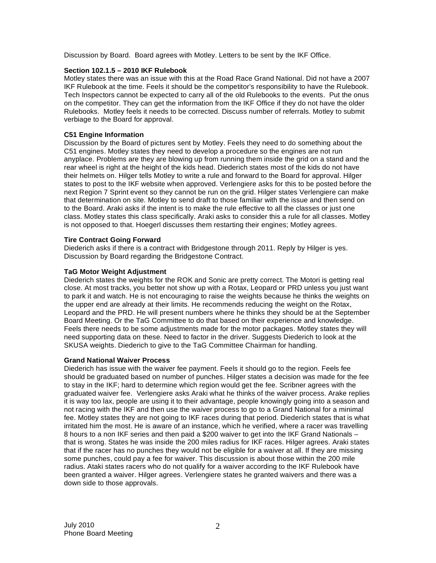Discussion by Board. Board agrees with Motley. Letters to be sent by the IKF Office.

# **Section 102.1.5 – 2010 IKF Rulebook**

Motley states there was an issue with this at the Road Race Grand National. Did not have a 2007 IKF Rulebook at the time. Feels it should be the competitor's responsibility to have the Rulebook. Tech Inspectors cannot be expected to carry all of the old Rulebooks to the events. Put the onus on the competitor. They can get the information from the IKF Office if they do not have the older Rulebooks. Motley feels it needs to be corrected. Discuss number of referrals. Motley to submit verbiage to the Board for approval.

# **C51 Engine Information**

Discussion by the Board of pictures sent by Motley. Feels they need to do something about the C51 engines. Motley states they need to develop a procedure so the engines are not run anyplace. Problems are they are blowing up from running them inside the grid on a stand and the rear wheel is right at the height of the kids head. Diederich states most of the kids do not have their helmets on. Hilger tells Motley to write a rule and forward to the Board for approval. Hilger states to post to the IKF website when approved. Verlengiere asks for this to be posted before the next Region 7 Sprint event so they cannot be run on the grid. Hilger states Verlengiere can make that determination on site. Motley to send draft to those familiar with the issue and then send on to the Board. Araki asks if the intent is to make the rule effective to all the classes or just one class. Motley states this class specifically. Araki asks to consider this a rule for all classes. Motley is not opposed to that. Hoegerl discusses them restarting their engines; Motley agrees.

# **Tire Contract Going Forward**

Diederich asks if there is a contract with Bridgestone through 2011. Reply by Hilger is yes. Discussion by Board regarding the Bridgestone Contract.

# **TaG Motor Weight Adjustment**

Diederich states the weights for the ROK and Sonic are pretty correct. The Motori is getting real close. At most tracks, you better not show up with a Rotax, Leopard or PRD unless you just want to park it and watch. He is not encouraging to raise the weights because he thinks the weights on the upper end are already at their limits. He recommends reducing the weight on the Rotax, Leopard and the PRD. He will present numbers where he thinks they should be at the September Board Meeting. Or the TaG Committee to do that based on their experience and knowledge. Feels there needs to be some adjustments made for the motor packages. Motley states they will need supporting data on these. Need to factor in the driver. Suggests Diederich to look at the SKUSA weights. Diederich to give to the TaG Committee Chairman for handling.

### **Grand National Waiver Process**

Diederich has issue with the waiver fee payment. Feels it should go to the region. Feels fee should be graduated based on number of punches. Hilger states a decision was made for the fee to stay in the IKF; hard to determine which region would get the fee. Scribner agrees with the graduated waiver fee. Verlengiere asks Araki what he thinks of the waiver process. Arake replies it is way too lax, people are using it to their advantage, people knowingly going into a season and not racing with the IKF and then use the waiver process to go to a Grand National for a minimal fee. Motley states they are not going to IKF races during that period. Diederich states that is what irritated him the most. He is aware of an instance, which he verified, where a racer was travelling 8 hours to a non IKF series and then paid a \$200 waiver to get into the IKF Grand Nationals – that is wrong. States he was inside the 200 miles radius for IKF races. Hilger agrees. Araki states that if the racer has no punches they would not be eligible for a waiver at all. If they are missing some punches, could pay a fee for waiver. This discussion is about those within the 200 mile radius. Ataki states racers who do not qualify for a waiver according to the IKF Rulebook have been granted a waiver. Hilger agrees. Verlengiere states he granted waivers and there was a down side to those approvals.